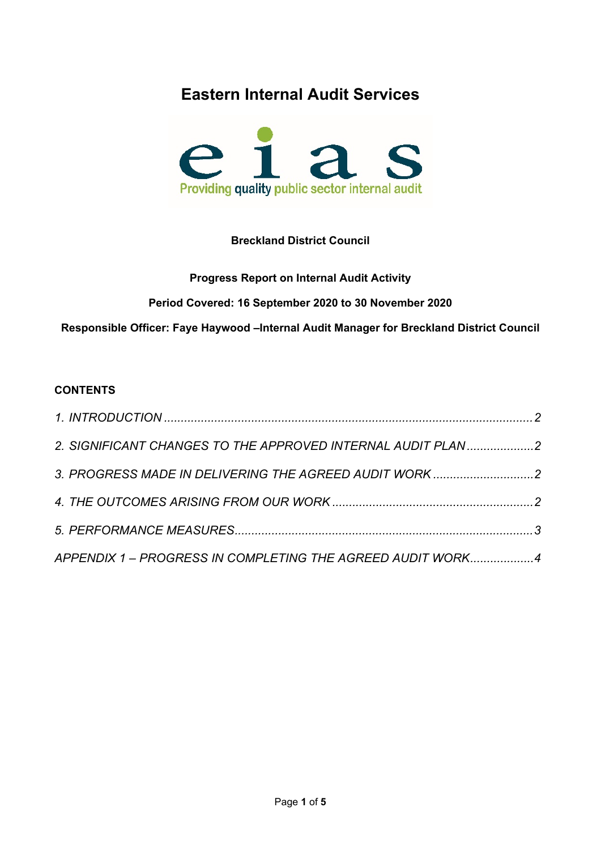# **Eastern Internal Audit Services**



# **Breckland District Council**

# **Progress Report on Internal Audit Activity**

**Period Covered: 16 September 2020 to 30 November 2020**

**Responsible Officer: Faye Haywood –Internal Audit Manager for Breckland District Council**

# **CONTENTS**

| 2. SIGNIFICANT CHANGES TO THE APPROVED INTERNAL AUDIT PLAN2 |  |
|-------------------------------------------------------------|--|
| 3. PROGRESS MADE IN DELIVERING THE AGREED AUDIT WORK2       |  |
|                                                             |  |
|                                                             |  |
| APPENDIX 1 - PROGRESS IN COMPLETING THE AGREED AUDIT WORK4  |  |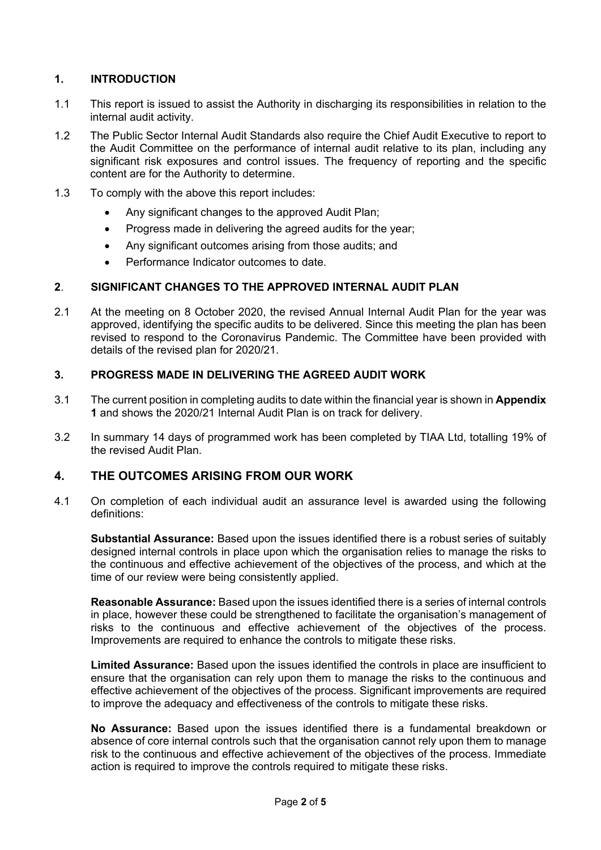### <span id="page-1-0"></span>**1. INTRODUCTION**

- 1.1 This report is issued to assist the Authority in discharging its responsibilities in relation to the internal audit activity.
- 1.2 The Public Sector Internal Audit Standards also require the Chief Audit Executive to report to the Audit Committee on the performance of internal audit relative to its plan, including any significant risk exposures and control issues. The frequency of reporting and the specific content are for the Authority to determine.
- 1.3 To comply with the above this report includes:
	- Any significant changes to the approved Audit Plan;
	- Progress made in delivering the agreed audits for the year;
	- Any significant outcomes arising from those audits; and
	- **•** Performance Indicator outcomes to date

#### <span id="page-1-1"></span>**2**. **SIGNIFICANT CHANGES TO THE APPROVED INTERNAL AUDIT PLAN**

2.1 At the meeting on 8 October 2020, the revised Annual Internal Audit Plan for the year was approved, identifying the specific audits to be delivered. Since this meeting the plan has been revised to respond to the Coronavirus Pandemic. The Committee have been provided with details of the revised plan for 2020/21.

#### <span id="page-1-2"></span>**3. PROGRESS MADE IN DELIVERING THE AGREED AUDIT WORK**

- 3.1 The current position in completing audits to date within the financial year is shown in **Appendix 1** and shows the 2020/21 Internal Audit Plan is on track for delivery.
- 3.2 In summary 14 days of programmed work has been completed by TIAA Ltd, totalling 19% of the revised Audit Plan.

# <span id="page-1-3"></span>**4. THE OUTCOMES ARISING FROM OUR WORK**

4.1 On completion of each individual audit an assurance level is awarded using the following definitions:

**Substantial Assurance:** Based upon the issues identified there is a robust series of suitably designed internal controls in place upon which the organisation relies to manage the risks to the continuous and effective achievement of the objectives of the process, and which at the time of our review were being consistently applied.

**Reasonable Assurance:** Based upon the issues identified there is a series of internal controls in place, however these could be strengthened to facilitate the organisation's management of risks to the continuous and effective achievement of the objectives of the process. Improvements are required to enhance the controls to mitigate these risks.

**Limited Assurance:** Based upon the issues identified the controls in place are insufficient to ensure that the organisation can rely upon them to manage the risks to the continuous and effective achievement of the objectives of the process. Significant improvements are required to improve the adequacy and effectiveness of the controls to mitigate these risks.

**No Assurance:** Based upon the issues identified there is a fundamental breakdown or absence of core internal controls such that the organisation cannot rely upon them to manage risk to the continuous and effective achievement of the objectives of the process. Immediate action is required to improve the controls required to mitigate these risks.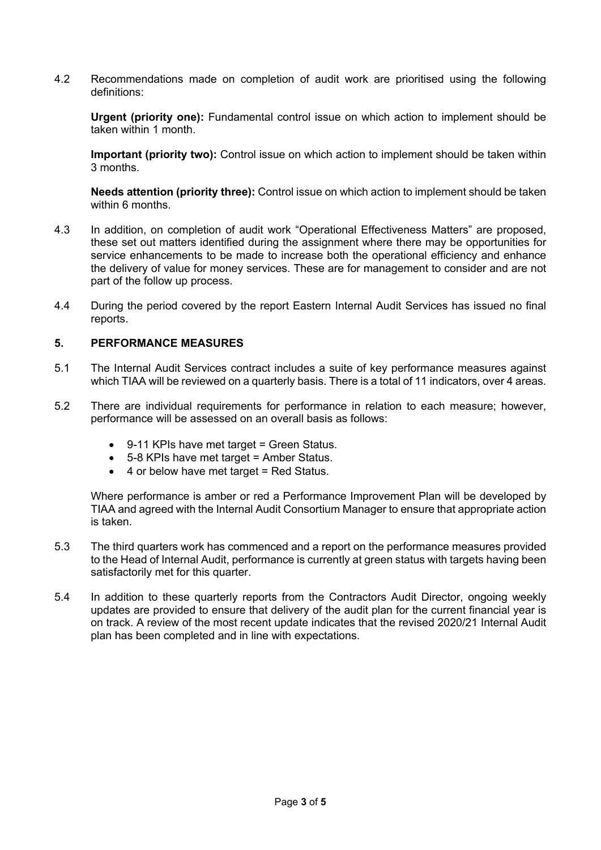4.2 Recommendations made on completion of audit work are prioritised using the following definitions:

**Urgent (priority one):** Fundamental control issue on which action to implement should be taken within 1 month.

**Important (priority two):** Control issue on which action to implement should be taken within 3 months.

**Needs attention (priority three):** Control issue on which action to implement should be taken within 6 months

- 4.3 In addition, on completion of audit work "Operational Effectiveness Matters" are proposed, these set out matters identified during the assignment where there may be opportunities for service enhancements to be made to increase both the operational efficiency and enhance the delivery of value for money services. These are for management to consider and are not part of the follow up process.
- 4.4 During the period covered by the report Eastern Internal Audit Services has issued no final reports.

#### <span id="page-2-0"></span>**5. PERFORMANCE MEASURES**

- 5.1 The Internal Audit Services contract includes a suite of key performance measures against which TIAA will be reviewed on a quarterly basis. There is a total of 11 indicators, over 4 areas.
- 5.2 There are individual requirements for performance in relation to each measure; however, performance will be assessed on an overall basis as follows:
	- 9-11 KPIs have met target = Green Status.
	- 5-8 KPIs have met target = Amber Status.
	- 4 or below have met target = Red Status.

Where performance is amber or red a Performance Improvement Plan will be developed by TIAA and agreed with the Internal Audit Consortium Manager to ensure that appropriate action is taken.

- 5.3 The third quarters work has commenced and a report on the performance measures provided to the Head of Internal Audit, performance is currently at green status with targets having been satisfactorily met for this quarter.
- 5.4 In addition to these quarterly reports from the Contractors Audit Director, ongoing weekly updates are provided to ensure that delivery of the audit plan for the current financial year is on track. A review of the most recent update indicates that the revised 2020/21 Internal Audit plan has been completed and in line with expectations.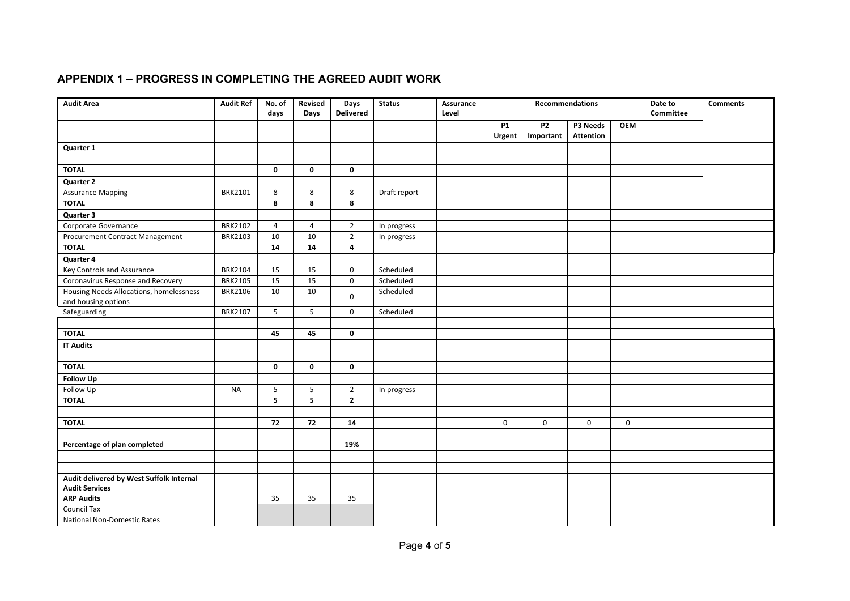# **APPENDIX 1 – PROGRESS IN COMPLETING THE AGREED AUDIT WORK**

<span id="page-3-0"></span>

| <b>Audit Area</b>                                                 | <b>Audit Ref</b> | No. of<br>days | Revised<br>Days | Days<br><b>Delivered</b> | <b>Status</b> | Assurance<br>Level | <b>Recommendations</b> |                             |                              |             | Date to<br><b>Committee</b> | <b>Comments</b> |
|-------------------------------------------------------------------|------------------|----------------|-----------------|--------------------------|---------------|--------------------|------------------------|-----------------------------|------------------------------|-------------|-----------------------------|-----------------|
|                                                                   |                  |                |                 |                          |               |                    | <b>P1</b><br>Urgent    | P <sub>2</sub><br>Important | P3 Needs<br><b>Attention</b> | <b>OEM</b>  |                             |                 |
| Quarter 1                                                         |                  |                |                 |                          |               |                    |                        |                             |                              |             |                             |                 |
|                                                                   |                  |                |                 |                          |               |                    |                        |                             |                              |             |                             |                 |
| <b>TOTAL</b>                                                      |                  | $\mathbf 0$    | 0               | $\mathbf{0}$             |               |                    |                        |                             |                              |             |                             |                 |
| Quarter 2                                                         |                  |                |                 |                          |               |                    |                        |                             |                              |             |                             |                 |
| <b>Assurance Mapping</b>                                          | <b>BRK2101</b>   | 8              | 8               | 8                        | Draft report  |                    |                        |                             |                              |             |                             |                 |
| <b>TOTAL</b>                                                      |                  | 8              | 8               | 8                        |               |                    |                        |                             |                              |             |                             |                 |
| Quarter 3                                                         |                  |                |                 |                          |               |                    |                        |                             |                              |             |                             |                 |
| Corporate Governance                                              | <b>BRK2102</b>   | $\overline{4}$ | $\overline{4}$  | $2^{\circ}$              | In progress   |                    |                        |                             |                              |             |                             |                 |
| Procurement Contract Management                                   | <b>BRK2103</b>   | 10             | 10              | $\overline{2}$           | In progress   |                    |                        |                             |                              |             |                             |                 |
| <b>TOTAL</b>                                                      |                  | 14             | 14              | 4                        |               |                    |                        |                             |                              |             |                             |                 |
| <b>Quarter 4</b>                                                  |                  |                |                 |                          |               |                    |                        |                             |                              |             |                             |                 |
| Key Controls and Assurance                                        | <b>BRK2104</b>   | 15             | 15              | $\mathbf 0$              | Scheduled     |                    |                        |                             |                              |             |                             |                 |
| Coronavirus Response and Recovery                                 | <b>BRK2105</b>   | 15             | 15              | $\mathbf 0$              | Scheduled     |                    |                        |                             |                              |             |                             |                 |
| Housing Needs Allocations, homelessness                           | <b>BRK2106</b>   | 10             | 10              | $\mathbf 0$              | Scheduled     |                    |                        |                             |                              |             |                             |                 |
| and housing options                                               |                  |                |                 |                          |               |                    |                        |                             |                              |             |                             |                 |
| Safeguarding                                                      | <b>BRK2107</b>   | 5              | 5               | $\mathbf 0$              | Scheduled     |                    |                        |                             |                              |             |                             |                 |
|                                                                   |                  |                |                 |                          |               |                    |                        |                             |                              |             |                             |                 |
| <b>TOTAL</b>                                                      |                  | 45             | 45              | 0                        |               |                    |                        |                             |                              |             |                             |                 |
| <b>IT Audits</b>                                                  |                  |                |                 |                          |               |                    |                        |                             |                              |             |                             |                 |
|                                                                   |                  |                |                 |                          |               |                    |                        |                             |                              |             |                             |                 |
| <b>TOTAL</b>                                                      |                  | $\mathbf 0$    | $\mathbf 0$     | $\mathbf 0$              |               |                    |                        |                             |                              |             |                             |                 |
| <b>Follow Up</b>                                                  |                  |                |                 |                          |               |                    |                        |                             |                              |             |                             |                 |
| Follow Up                                                         | <b>NA</b>        | 5              | 5               | $\overline{2}$           | In progress   |                    |                        |                             |                              |             |                             |                 |
| <b>TOTAL</b>                                                      |                  | 5              | 5               | $\overline{2}$           |               |                    |                        |                             |                              |             |                             |                 |
|                                                                   |                  |                |                 |                          |               |                    |                        |                             |                              |             |                             |                 |
| <b>TOTAL</b>                                                      |                  | 72             | 72              | 14                       |               |                    | $\mathbf 0$            | $\mathbf 0$                 | $\mathbf 0$                  | $\mathbf 0$ |                             |                 |
|                                                                   |                  |                |                 |                          |               |                    |                        |                             |                              |             |                             |                 |
| Percentage of plan completed                                      |                  |                |                 | 19%                      |               |                    |                        |                             |                              |             |                             |                 |
|                                                                   |                  |                |                 |                          |               |                    |                        |                             |                              |             |                             |                 |
|                                                                   |                  |                |                 |                          |               |                    |                        |                             |                              |             |                             |                 |
| Audit delivered by West Suffolk Internal<br><b>Audit Services</b> |                  |                |                 |                          |               |                    |                        |                             |                              |             |                             |                 |
| <b>ARP Audits</b>                                                 |                  | 35             | 35              | 35                       |               |                    |                        |                             |                              |             |                             |                 |
| <b>Council Tax</b>                                                |                  |                |                 |                          |               |                    |                        |                             |                              |             |                             |                 |
| <b>National Non-Domestic Rates</b>                                |                  |                |                 |                          |               |                    |                        |                             |                              |             |                             |                 |